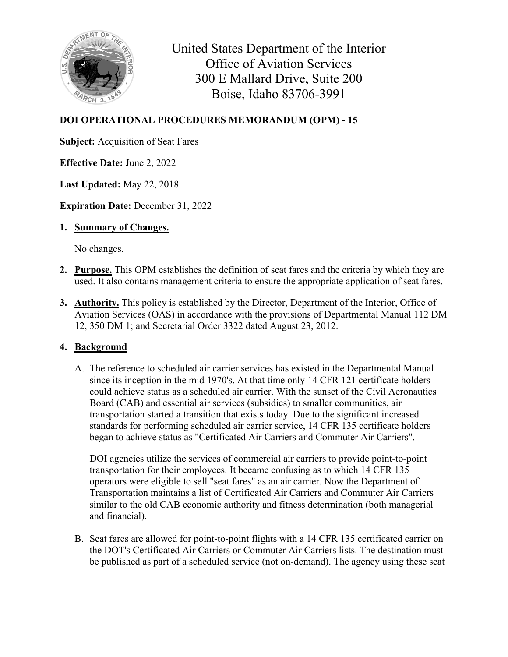

United States Department of the Interior Office of Aviation Services 300 E Mallard Drive, Suite 200 Boise, Idaho 83706-3991

## **DOI OPERATIONAL PROCEDURES MEMORANDUM (OPM) - 15**

**Subject:** Acquisition of Seat Fares

**Effective Date:** June 2, 2022

**Last Updated:** May 22, 2018

**Expiration Date:** December 31, 2022

**1. Summary of Changes.**

No changes.

- **2. Purpose.** This OPM establishes the definition of seat fares and the criteria by which they are used. It also contains management criteria to ensure the appropriate application of seat fares.
- **3. Authority.** This policy is established by the Director, Department of the Interior, Office of Aviation Services (OAS) in accordance with the provisions of Departmental Manual 112 DM 12, 350 DM 1; and Secretarial Order 3322 dated August 23, 2012.

## **4. Background**

A. The reference to scheduled air carrier services has existed in the Departmental Manual since its inception in the mid 1970's. At that time only 14 CFR 121 certificate holders could achieve status as a scheduled air carrier. With the sunset of the Civil Aeronautics Board (CAB) and essential air services (subsidies) to smaller communities, air transportation started a transition that exists today. Due to the significant increased standards for performing scheduled air carrier service, 14 CFR 135 certificate holders began to achieve status as "Certificated Air Carriers and Commuter Air Carriers".

DOI agencies utilize the services of commercial air carriers to provide point-to-point transportation for their employees. It became confusing as to which 14 CFR 135 operators were eligible to sell "seat fares" as an air carrier. Now the Department of Transportation maintains a list of Certificated Air Carriers and Commuter Air Carriers similar to the old CAB economic authority and fitness determination (both managerial and financial).

B. Seat fares are allowed for point-to-point flights with a 14 CFR 135 certificated carrier on the DOT's Certificated Air Carriers or Commuter Air Carriers lists. The destination must be published as part of a scheduled service (not on-demand). The agency using these seat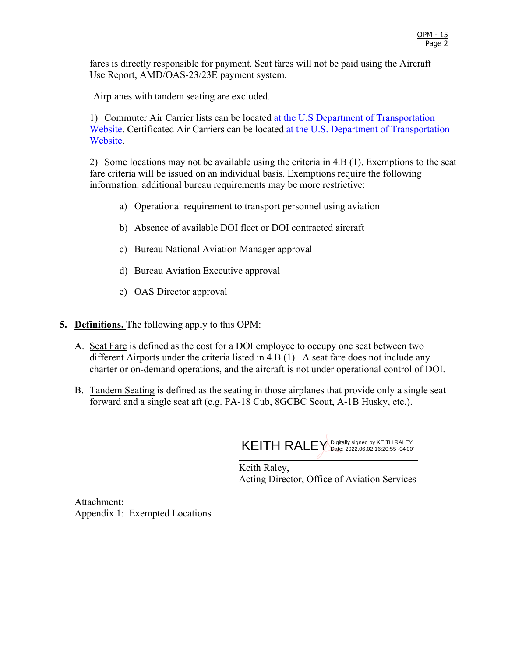fares is directly responsible for payment. Seat fares will not be paid using the Aircraft Use Report, AMD/OAS-23/23E payment system.

Airplanes with tandem seating are excluded.

1) Commuter Air Carrier lists can be located [at the U.S Department of Transportation](https://www.transportation.gov/policy/aviation-policy/commuter-air-carriers-list)  [Website.](https://www.transportation.gov/policy/aviation-policy/commuter-air-carriers-list) Certificated Air Carriers can be located [at the U.S. Department of Transportation](https://www.transportation.gov/policy/aviation-policy/certificated-air-carriers-list)  [Website.](https://www.transportation.gov/policy/aviation-policy/certificated-air-carriers-list)

2) Some locations may not be available using the criteria in 4.B (1). Exemptions to the seat fare criteria will be issued on an individual basis. Exemptions require the following information: additional bureau requirements may be more restrictive:

- a) Operational requirement to transport personnel using aviation
- b) Absence of available DOI fleet or DOI contracted aircraft
- c) Bureau National Aviation Manager approval
- d) Bureau Aviation Executive approval
- e) OAS Director approval
- **5. Definitions.** The following apply to this OPM:
	- A. Seat Fare is defined as the cost for a DOI employee to occupy one seat between two different Airports under the criteria listed in 4.B (1). A seat fare does not include any charter or on-demand operations, and the aircraft is not under operational control of DOI.
	- B. Tandem Seating is defined as the seating in those airplanes that provide only a single seat forward and a single seat aft (e.g. PA-18 Cub, 8GCBC Scout, A-1B Husky, etc.).



Keith Raley, Acting Director, Office of Aviation Services

Attachment: Appendix 1: Exempted Locations